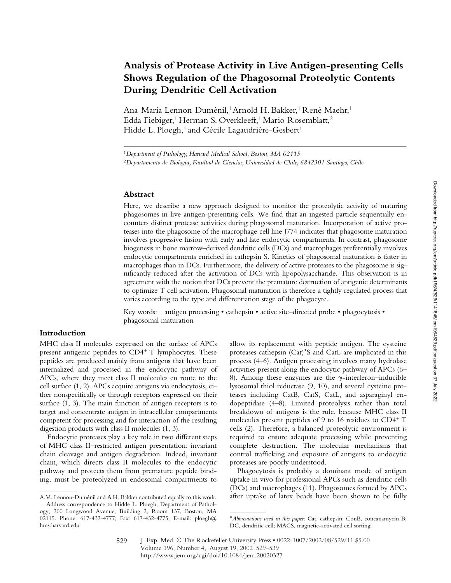# **Analysis of Protease Activity in Live Antigen-presenting Cells Shows Regulation of the Phagosomal Proteolytic Contents During Dendritic Cell Activation**

Ana-Maria Lennon-Duménil,<sup>1</sup> Arnold H. Bakker,<sup>1</sup> René Maehr,<sup>1</sup> Edda Fiebiger,<sup>1</sup> Herman S. Overkleeft,<sup>1</sup> Mario Rosemblatt,<sup>2</sup> Hidde L. Ploegh,<sup>1</sup> and Cécile Lagaudrière-Gesbert<sup>1</sup>

## **Abstract**

Here, we describe a new approach designed to monitor the proteolytic activity of maturing phagosomes in live antigen-presenting cells. We find that an ingested particle sequentially encounters distinct protease activities during phagosomal maturation. Incorporation of active proteases into the phagosome of the macrophage cell line J774 indicates that phagosome maturation involves progressive fusion with early and late endocytic compartments. In contrast, phagosome biogenesis in bone marrow–derived dendritic cells (DCs) and macrophages preferentially involves endocytic compartments enriched in cathepsin S. Kinetics of phagosomal maturation is faster in macrophages than in DCs. Furthermore, the delivery of active proteases to the phagosome is significantly reduced after the activation of DCs with lipopolysaccharide. This observation is in agreement with the notion that DCs prevent the premature destruction of antigenic determinants to optimize T cell activation. Phagosomal maturation is therefore a tightly regulated process that varies according to the type and differentiation stage of the phagocyte.

Key words: antigen processing • cathepsin • active site-directed probe • phagocytosis • phagosomal maturation

## **Introduction**

MHC class II molecules expressed on the surface of APCs present antigenic peptides to CD4<sup>+</sup> T lymphocytes. These peptides are produced mainly from antigens that have been internalized and processed in the endocytic pathway of APCs, where they meet class II molecules en route to the cell surface (1, 2). APCs acquire antigens via endocytosis, either nonspecifically or through receptors expressed on their surface (1, 3). The main function of antigen receptors is to target and concentrate antigen in intracellular compartments competent for processing and for interaction of the resulting digestion products with class II molecules (1, 3).

Endocytic proteases play a key role in two different steps of MHC class II–restricted antigen presentation: invariant chain cleavage and antigen degradation. Indeed, invariant chain, which directs class II molecules to the endocytic pathway and protects them from premature peptide binding, must be proteolyzed in endosomal compartments to

allow its replacement with peptide antigen. The cysteine proteases cathepsin (Cat)\*S and CatL are implicated in this process (4–6). Antigen processing involves many hydrolase activities present along the endocytic pathway of APCs (6– 8). Among these enzymes are the  $\gamma$ -interferon–inducible lysosomal thiol reductase (9, 10), and several cysteine proteases including CatB, CatS, CatL, and asparaginyl endopeptidase (4–8). Limited proteolysis rather than total breakdown of antigens is the rule, because MHC class II molecules present peptides of 9 to 16 residues to CD4<sup>+</sup> T cells (2). Therefore, a balanced proteolytic environment is required to ensure adequate processing while preventing complete destruction. The molecular mechanisms that control trafficking and exposure of antigens to endocytic proteases are poorly understood.

Phagocytosis is probably a dominant mode of antigen uptake in vivo for professional APCs such as dendritic cells (DCs) and macrophages (11). Phagosomes formed by APCs A.M. Lennon-Duménil and A.H. Bakker contributed equally to this work. after uptake of latex beads have been shown to be fully

<sup>1</sup>*Department of Pathology, Harvard Medical School, Boston, MA 02115* <sup>2</sup>*Departamento de Biologia, Facultad de Ciencias, Universidad de Chile, 6842301 Santiago, Chile*

Address correspondence to Hidde L. Ploegh, Department of Pathol-

ogy, 200 Longwood Avenue, Building 2, Room 137, Boston, MA 02115. Phone: 617-432-4777; Fax: 617-432-4775; E-mail: ploegh@ hms.harvard.edu

<sup>\*</sup>*Abbreviations used in this paper:* Cat, cathepsin; ConB, concanamycin B; DC, dendritic cell; MACS, magnetic-activated cell sorting.

J. Exp. Med. © The Rockefeller University Press • 0022-1007/2002/08/529/11 \$5.00 Volume 196, Number 4, August 19, 2002 529–539 http://www.jem.org/cgi/doi/10.1084/jem.20020327 529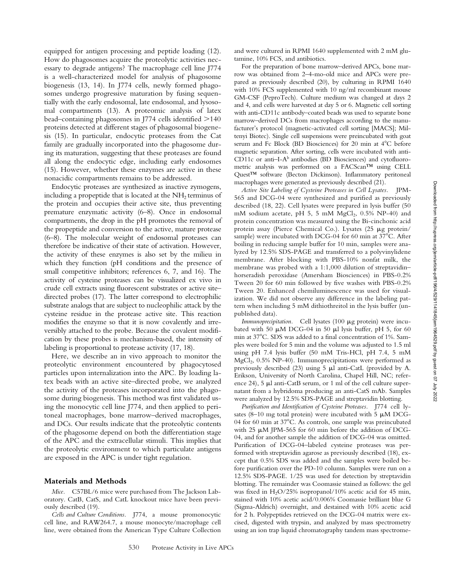equipped for antigen processing and peptide loading (12). How do phagosomes acquire the proteolytic activities necessary to degrade antigens? The macrophage cell line J774 is a well-characterized model for analysis of phagosome biogenesis (13, 14). In J774 cells, newly formed phagosomes undergo progressive maturation by fusing sequentially with the early endosomal, late endosomal, and lysosomal compartments (13). A proteomic analysis of latex bead–containing phagosomes in J774 cells identified  $>$ 140 proteins detected at different stages of phagosomal biogenesis (15). In particular, endocytic proteases from the Cat family are gradually incorporated into the phagosome during its maturation, suggesting that these proteases are found all along the endocytic edge, including early endosomes (15). However, whether these enzymes are active in these nonacidic compartments remains to be addressed.

Endocytic proteases are synthesized as inactive zymogens, including a propeptide that is located at the  $NH<sub>2</sub>$  terminus of the protein and occupies their active site, thus preventing premature enzymatic activity (6–8). Once in endosomal compartments, the drop in the pH promotes the removal of the propeptide and conversion to the active, mature protease (6–8). The molecular weight of endosomal proteases can therefore be indicative of their state of activation. However, the activity of these enzymes is also set by the milieu in which they function (pH conditions and the presence of small competitive inhibitors; references 6, 7, and 16). The activity of cysteine proteases can be visualized ex vivo in crude cell extracts using fluorescent substrates or active site– directed probes (17). The latter correspond to electrophilic substrate analogs that are subject to nucleophilic attack by the cysteine residue in the protease active site. This reaction modifies the enzyme so that it is now covalently and irreversibly attached to the probe. Because the covalent modification by these probes is mechanism-based, the intensity of labeling is proportional to protease activity (17, 18).

Here, we describe an in vivo approach to monitor the proteolytic environment encountered by phagocytosed particles upon internalization into the APC. By loading latex beads with an active site–directed probe, we analyzed the activity of the proteases incorporated into the phagosome during biogenesis. This method was first validated using the monocytic cell line J774, and then applied to peritoneal macrophages, bone marrow–derived macrophages, and DCs. Our results indicate that the proteolytic contents of the phagosome depend on both the differentiation stage of the APC and the extracellular stimuli. This implies that the proteolytic environment to which particulate antigens are exposed in the APC is under tight regulation.

#### **Materials and Methods**

*Mice.* C57BL/6 mice were purchased from The Jackson Laboratory. CatB, CatS, and CatL knockout mice have been previously described (19).

*Cells and Culture Conditions.* J774, a mouse promonocytic cell line, and RAW264.7, a mouse monocyte/macrophage cell line, were obtained from the American Type Culture Collection and were cultured in RPMI 1640 supplemented with 2 mM glutamine, 10% FCS, and antibiotics.

For the preparation of bone marrow–derived APCs, bone marrow was obtained from 2–4-mo-old mice and APCs were prepared as previously described (20), by culturing in RPMI 1640 with 10% FCS supplemented with 10 ng/ml recombinant mouse GM-CSF (PeproTech). Culture medium was changed at days 2 and 4, and cells were harvested at day 5 or 6. Magnetic cell sorting with anti-CD11c antibody–coated beads was used to separate bone marrow–derived DCs from macrophages according to the manufacturer's protocol (magnetic-activated cell sorting [MACS]; Miltenyi Biotec). Single cell suspensions were preincubated with goat serum and Fc Block (BD Biosciences) for 20 min at 4°C before magnetic separation. After sorting, cells were incubated with anti-CD11c or anti–I-Ab antibodies (BD Biosciences) and cytofluorometric analysis was performed on a FACScan™ using CELL Quest<sup>™</sup> software (Becton Dickinson). Inflammatory peritoneal macrophages were generated as previously described (21).

*Active Site Labeling of Cysteine Proteases in Cell Lysates.* JPM-565 and DCG-04 were synthesized and purified as previously described (18, 22). Cell lysates were prepared in lysis buffer (50 mM sodium acetate, pH 5, 5 mM  $MgCl<sub>2</sub>$ , 0.5% NP-40) and protein concentration was measured using the Bi-cinchonic acid protein assay (Pierce Chemical Co.). Lysates  $(25 \mu g)$  protein/ sample) were incubated with DCG-04 for 60 min at  $37^{\circ}$ C. After boiling in reducing sample buffer for 10 min, samples were analyzed by 12.5% SDS-PAGE and transferred to a polyvinylidene membrane. After blocking with PBS-10% nonfat milk, the membrane was probed with a 1:1,000 dilution of streptavidin– horseradish peroxidase (Amersham Biosciences) in PBS-0.2% Tween 20 for 60 min followed by five washes with PBS-0.2% Tween 20. Enhanced chemiluminescence was used for visualization. We did not observe any difference in the labeling pattern when including 5 mM dithiothreitol in the lysis buffer (unpublished data).

*Immunoprecipitation.* Cell lysates (100  $\mu$ g protein) were incubated with 50  $\mu$ M DCG-04 in 50  $\mu$ l lysis buffer, pH 5, for 60 min at 37°C. SDS was added to a final concentration of 1%. Samples were boiled for 5 min and the volume was adjusted to 1.5 ml using pH 7.4 lysis buffer (50 mM Tris-HCl, pH 7.4, 5 mM MgCl<sub>2</sub>, 0.5% NP-40). Immunoprecipitations were performed as previously described (23) using 5  $\mu$ l anti-CatL (provided by A. Erikson, University of North Carolina, Chapel Hill, NC; reference 24), 5  $\mu$ l anti-CatB serum, or 1 ml of the cell culture supernatant from a hybridoma producing an anti-CatS mAb. Samples were analyzed by 12.5% SDS-PAGE and streptavidin blotting.

*Purification and Identification of Cysteine Proteases.* J774 cell lysates (8–10 mg total protein) were incubated with 5  $\mu$ M DCG-04 for 60 min at  $37^{\circ}$ C. As controls, one sample was preincubated with 25  $\mu$ M JPM-565 for 60 min before the addition of DCG-04, and for another sample the addition of DCG-04 was omitted. Purification of DCG-04–labeled cysteine proteases was performed with streptavidin agarose as previously described (18), except that 0.5% SDS was added and the samples were boiled before purification over the PD-10 column. Samples were run on a 12.5% SDS-PAGE. 1/25 was used for detection by streptavidin blotting. The remainder was Coomassie stained as follows: the gel was fixed in  $H<sub>2</sub>O/25%$  isopropanol/10% acetic acid for 45 min, stained with 10% acetic acid/0.006% Coomassie brilliant blue G (Sigma-Aldrich) overnight, and destained with 10% acetic acid for 2 h. Polypeptides retrieved on the DCG-04 matrix were excised, digested with trypsin, and analyzed by mass spectrometry using an ion trap liquid chromatography tandem mass spectrome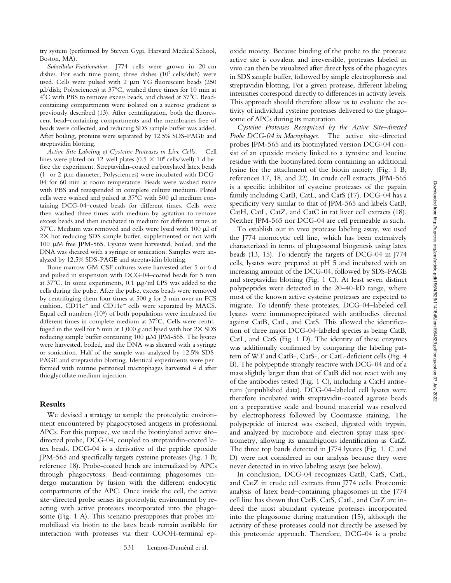try system (performed by Steven Gygi, Harvard Medical School, Boston, MA).

*Subcellular Fractionation.* J774 cells were grown in 20-cm dishes. For each time point, three dishes (107 cells/dish) were used. Cells were pulsed with  $2 \mu m YG$  fluorescent beads (250)  $\mu$ l/dish; Polysciences) at 37°C, washed three times for 10 min at 4°C with PBS to remove excess beads, and chased at 37°C. Beadcontaining compartments were isolated on a sucrose gradient as previously described (13). After centrifugation, both the fluorescent bead–containing compartments and the membranes free of beads were collected, and reducing SDS sample buffer was added. After boiling, proteins were separated by 12.5% SDS-PAGE and streptavidin blotting.

*Active Site Labeling of Cysteine Proteases in Live Cells.* Cell lines were plated on 12-well plates ( $0.5 \times 10^6$  cells/well) 1 d before the experiment. Streptavidin-coated carboxylated latex beads (1- or 2- $\mu$ m diameter; Polysciences) were incubated with DCG-04 for 60 min at room temperature. Beads were washed twice with PBS and resuspended in complete culture medium. Plated cells were washed and pulsed at  $37^{\circ}$ C with 500 µl medium containing DCG-04–coated beads for different times. Cells were then washed three times with medium by agitation to remove excess beads and then incubated in medium for different times at  $37^{\circ}$ C. Medium was removed and cells were lysed with 100  $\mu$ l of  $2\times$  hot reducing SDS sample buffer, supplemented or not with 100  $\mu$ M free JPM-565. Lysates were harvested, boiled, and the DNA was sheared with a syringe or sonication. Samples were analyzed by 12.5% SDS-PAGE and streptavidin blotting.

Bone marrow GM-CSF cultures were harvested after 5 or 6 d and pulsed in suspension with DCG-04–coated beads for 5 min at 37°C. In some experiments,  $0.1 \mu g/ml$  LPS was added to the cells during the pulse. After the pulse, excess beads were removed by centrifuging them four times at 500 *g* for 2 min over an FCS cushion.  $CD11c^{+}$  and  $CD11c^{-}$  cells were separated by MACS. Equal cell numbers (106) of both populations were incubated for different times in complete medium at 37°C. Cells were centrifuged in the well for 5 min at 1,000  $g$  and lysed with hot 2 $\times$  SDS reducing sample buffer containing  $100 \mu M$  JPM-565. The lysates were harvested, boiled, and the DNA was sheared with a syringe or sonication. Half of the sample was analyzed by 12.5% SDS-PAGE and streptavidin blotting. Identical experiments were performed with murine peritoneal macrophages harvested 4 d after thioglycollate medium injection.

## **Results**

We devised a strategy to sample the proteolytic environment encountered by phagocytosed antigens in professional APCs. For this purpose, we used the biotinylated active site– directed probe, DCG-04, coupled to streptavidin-coated latex beads. DCG-04 is a derivative of the peptide epoxide JPM-565 and specifically targets cysteine proteases (Fig. 1 B; reference 18). Probe-coated beads are internalized by APCs through phagocytosis. Bead-containing phagosomes undergo maturation by fusion with the different endocytic compartments of the APC. Once inside the cell, the active site–directed probe senses its proteolytic environment by reacting with active proteases incorporated into the phagosome (Fig. 1 A). This scenario presupposes that probes immobilized via biotin to the latex beads remain available for interaction with proteases via their COOH-terminal ep-

oxide moiety. Because binding of the probe to the protease active site is covalent and irreversible, proteases labeled in vivo can then be visualized after direct lysis of the phagocytes in SDS sample buffer, followed by simple electrophoresis and streptavidin blotting. For a given protease, different labeling intensities correspond directly to differences in activity levels. This approach should therefore allow us to evaluate the activity of individual cysteine proteases delivered to the phagosome of APCs during its maturation.

*Cysteine Proteases Recognized by the Active Site–directed Probe DCG-04 in Macrophages.* The active site–directed probes JPM-565 and its biotinylated version DCG-04 consist of an epoxide moiety linked to a tyrosine and leucine residue with the biotinylated form containing an additional lysine for the attachment of the biotin moiety (Fig. 1 B; references 17, 18, and 22). In crude cell extracts, JPM-565 is a specific inhibitor of cysteine proteases of the papain family including CatB, CatL, and CatS (17). DCG-04 has a specificity very similar to that of JPM-565 and labels CatB, CatH, CatL, CatZ, and CatC in rat liver cell extracts (18). Neither JPM-565 nor DCG-04 are cell permeable as such.

To establish our in vivo protease labeling assay, we used the J774 monocytic cell line, which has been extensively characterized in terms of phagosomal biogenesis using latex beads (13, 15). To identify the targets of DCG-04 in J774 cells, lysates were prepared at pH 5 and incubated with an increasing amount of the DCG-04, followed by SDS-PAGE and streptavidin blotting (Fig. 1 C). At least seven distinct polypeptides were detected in the 20–40-kD range, where most of the known active cysteine proteases are expected to migrate. To identify these proteases, DCG-04–labeled cell lysates were immunoprecipitated with antibodies directed against CatB, CatL, and CatS. This allowed the identification of three major DCG-04–labeled species as being CatB, CatL, and CatS (Fig. 1 D). The identity of these enzymes was additionally confirmed by comparing the labeling pattern of WT and CatB-, CatS-, or CatL-deficient cells (Fig. 4 B). The polypeptide strongly reactive with DCG-04 and of a mass slightly larger than that of CatB did not react with any of the antibodies tested (Fig. 1 C), including a CatH antiserum (unpublished data). DCG-04–labeled cell lysates were therefore incubated with streptavidin-coated agarose beads on a preparative scale and bound material was resolved by electrophoresis followed by Coomassie staining. The polypeptide of interest was excised, digested with trypsin, and analyzed by microbore and electron spray mass spectrometry, allowing its unambiguous identification as CatZ. The three top bands detected in J774 lysates (Fig. 1, C and D) were not considered in our analysis because they were never detected in in vivo labeling assays (see below).

In conclusion, DCG-04 recognizes CatB, CatS, CatL, and CatZ in crude cell extracts from J774 cells. Proteomic analysis of latex bead–containing phagosomes in the J774 cell line has shown that CatB, CatS, CatL, and CatZ are indeed the most abundant cysteine proteases incorporated into the phagosome during maturation (15), although the activity of these proteases could not directly be assessed by this proteomic approach. Therefore, DCG-04 is a probe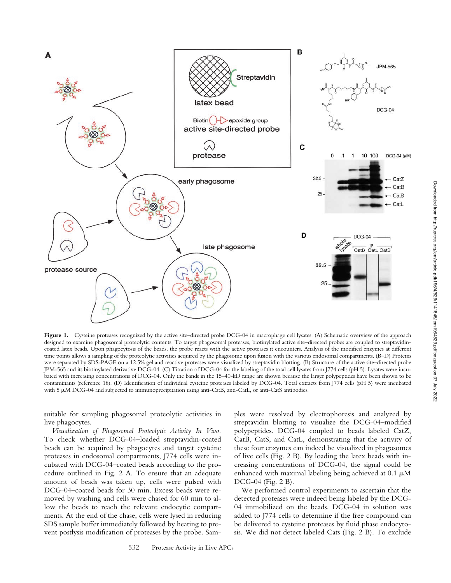

Figure 1. Cysteine proteases recognized by the active site-directed probe DCG-04 in macrophage cell lysates. (A) Schematic overview of the approach designed to examine phagosomal proteolytic contents. To target phagosomal proteases, biotinylated active site–directed probes are coupled to streptavidincoated latex beads. Upon phagocytosis of the beads, the probe reacts with the active proteases it encounters. Analysis of the modified enzymes at different time points allows a sampling of the proteolytic activities acquired by the phagosome upon fusion with the various endosomal compartments. (B–D) Proteins were separated by SDS-PAGE on a 12.5% gel and reactive proteases were visualized by streptavidin blotting. (B) Structure of the active site–directed probe JPM-565 and its biotinylated derivative DCG-04. (C) Titration of DCG-04 for the labeling of the total cell lysates from J774 cells (pH 5). Lysates were incubated with increasing concentrations of DCG-04. Only the bands in the 15–40-kD range are shown because the larger polypeptides have been shown to be contaminants (reference 18). (D) Identification of individual cysteine proteases labeled by DCG-04. Total extracts from J774 cells (pH 5) were incubated with 5  $\mu$ M DCG-04 and subjected to immunoprecipitation using anti-CatB, anti-CatL, or anti-CatS antibodies.

suitable for sampling phagosomal proteolytic activities in live phagocytes.

*Visualization of Phagosomal Proteolytic Activity In Vivo.* To check whether DCG-04–loaded streptavidin-coated beads can be acquired by phagocytes and target cysteine proteases in endosomal compartments, J774 cells were incubated with DCG-04–coated beads according to the procedure outlined in Fig. 2 A. To ensure that an adequate amount of beads was taken up, cells were pulsed with DCG-04–coated beads for 30 min. Excess beads were removed by washing and cells were chased for 60 min to allow the beads to reach the relevant endocytic compartments. At the end of the chase, cells were lysed in reducing SDS sample buffer immediately followed by heating to prevent postlysis modification of proteases by the probe. Samples were resolved by electrophoresis and analyzed by streptavidin blotting to visualize the DCG-04–modified polypeptides. DCG-04 coupled to beads labeled CatZ, CatB, CatS, and CatL, demonstrating that the activity of these four enzymes can indeed be visualized in phagosomes of live cells (Fig. 2 B). By loading the latex beads with increasing concentrations of DCG-04, the signal could be enhanced with maximal labeling being achieved at  $0.1 \mu M$ DCG-04 (Fig. 2 B).

We performed control experiments to ascertain that the detected proteases were indeed being labeled by the DCG-04 immobilized on the beads. DCG-04 in solution was added to J774 cells to determine if the free compound can be delivered to cysteine proteases by fluid phase endocytosis. We did not detect labeled Cats (Fig. 2 B). To exclude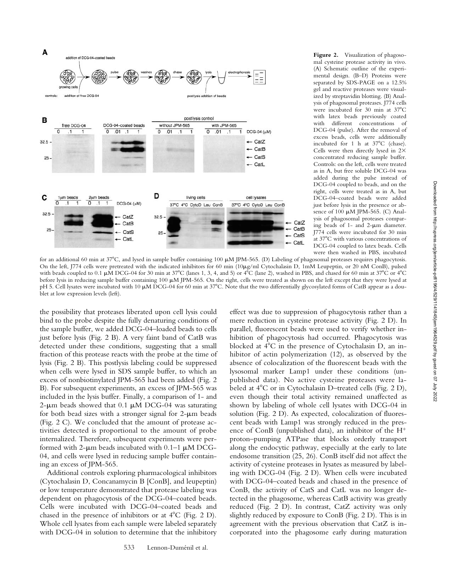

**Figure 2.** Visualization of phagosomal cysteine protease activity in vivo. (A) Schematic outline of the experimental design. (B–D) Proteins were separated by SDS-PAGE on a 12.5% gel and reactive proteases were visualized by streptavidin blotting. (B) Analysis of phagosomal proteases. J774 cells were incubated for 30 min at 37°C with latex beads previously coated with different concentrations of DCG-04 (pulse). After the removal of excess beads, cells were additionally incubated for 1 h at  $37^{\circ}$ C (chase). Cells were then directly lysed in  $2\times$ concentrated reducing sample buffer. Controls: on the left, cells were treated as in A, but free soluble DCG-04 was added during the pulse instead of DCG-04 coupled to beads, and on the right, cells were treated as in A, but DCG-04–coated beads were added just before lysis in the presence or absence of  $100 \mu M$  JPM-565. (C) Analysis of phagosomal proteases comparing beads of  $1-$  and  $2-\mu m$  diameter. J774 cells were incubated for 30 min at 37C with various concentrations of DCG-04 coupled to latex beads. Cells were then washed in PBS, incubated

for an additional 60 min at 37°C, and lysed in sample buffer containing 100  $\mu$ M JPM-565. (D) Labeling of phagosomal proteases requires phagocytosis. On the left, J774 cells were pretreated with the indicated inhibitors for 60 min  $(10\mu g/ml)$  Cytochalasin D, 1mM Leupeptin, or 20 nM ConB), pulsed with beads coupled to 0.1  $\mu$ M DCG-04 for 30 min at 37°C (lanes 1, 3, 4, and 5) or 4°C (lane 2), washed in PBS, and chased for 60 min at 37°C or 4°C before lysis in reducing sample buffer containing 100  $\mu$ M JPM-565. On the right, cells were treated as shown on the left except that they were lysed at pH 5. Cell lysates were incubated with 10  $\mu$ M DCG-04 for 60 min at 37°C. Note that the two differentially glycosylated forms of CatB appear as a doublet at low expression levels (left).

the possibility that proteases liberated upon cell lysis could bind to the probe despite the fully denaturing conditions of the sample buffer, we added DCG-04–loaded beads to cells just before lysis (Fig. 2 B). A very faint band of CatB was detected under these conditions, suggesting that a small fraction of this protease reacts with the probe at the time of lysis (Fig. 2 B). This postlysis labeling could be suppressed when cells were lysed in SDS sample buffer, to which an excess of nonbiotinylated JPM-565 had been added (Fig. 2 B). For subsequent experiments, an excess of JPM-565 was included in the lysis buffer. Finally, a comparison of 1- and 2- $\mu$ m beads showed that 0.1  $\mu$ M DCG-04 was saturating for both bead sizes with a stronger signal for  $2-\mu m$  beads (Fig. 2 C). We concluded that the amount of protease activities detected is proportional to the amount of probe internalized. Therefore, subsequent experiments were performed with 2- $\mu$ m beads incubated with 0.1–1  $\mu$ M DCG-04, and cells were lysed in reducing sample buffer containing an excess of JPM-565.

Additional controls exploring pharmacological inhibitors (Cytochalasin D, Concanamycin B [ConB], and leupeptin) or low temperature demonstrated that protease labeling was dependent on phagocytosis of the DCG-04–coated beads. Cells were incubated with DCG-04–coated beads and chased in the presence of inhibitors or at  $4^{\circ}$ C (Fig. 2 D). Whole cell lysates from each sample were labeled separately with DCG-04 in solution to determine that the inhibitory

effect was due to suppression of phagocytosis rather than a mere reduction in cysteine protease activity (Fig. 2 D). In parallel, fluorescent beads were used to verify whether inhibition of phagocytosis had occurred. Phagocytosis was blocked at  $4^{\circ}$ C in the presence of Cytochalasin D, an inhibitor of actin polymerization (12), as observed by the absence of colocalization of the fluorescent beads with the lysosomal marker Lamp1 under these conditions (unpublished data). No active cysteine proteases were labeled at  $4^{\circ}$ C or in Cytochalasin D–treated cells (Fig. 2 D), even though their total activity remained unaffected as shown by labeling of whole cell lysates with DCG-04 in solution (Fig. 2 D). As expected, colocalization of fluorescent beads with Lamp1 was strongly reduced in the presence of ConB (unpublished data), an inhibitor of the H proton–pumping ATPase that blocks orderly transport along the endocytic pathway, especially at the early to late endosome transition (25, 26). ConB itself did not affect the activity of cysteine proteases in lysates as measured by labeling with DCG-04 (Fig. 2 D). When cells were incubated with DCG-04–coated beads and chased in the presence of ConB, the activity of CatS and CatL was no longer detected in the phagosome, whereas CatB activity was greatly reduced (Fig. 2 D). In contrast, CatZ activity was only slightly reduced by exposure to ConB (Fig. 2 D). This is in agreement with the previous observation that CatZ is incorporated into the phagosome early during maturation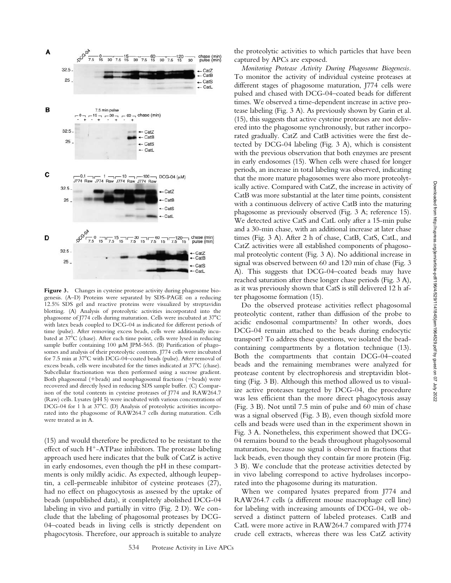

Figure 3. Changes in cysteine protease activity during phagosome biogenesis. (A–D) Proteins were separated by SDS-PAGE on a reducing 12.5% SDS gel and reactive proteins were visualized by streptavidin blotting. (A) Analysis of proteolytic activities incorporated into the phagosome of J774 cells during maturation. Cells were incubated at 37°C with latex beads coupled to DCG-04 as indicated for different periods of time (pulse). After removing excess beads, cells were additionally incubated at 37<sup>°</sup>C (chase). After each time point, cells were lysed in reducing sample buffer containing 100  $\mu$ M JPM-565. (B) Purification of phagosomes and analysis of their proteolytic contents. J774 cells were incubated for 7.5 min at 37°C with DCG-04-coated beads (pulse). After removal of excess beads, cells were incubated for the times indicated at 37°C (chase). Subcellular fractionation was then performed using a sucrose gradient. Both phagosomal (+beads) and nonphagosomal fractions (–beads) were recovered and directly lysed in reducing SDS sample buffer. (C) Comparison of the total contents in cysteine proteases of J774 and RAW264.7 (Raw) cells. Lysates (pH 5) were incubated with various concentrations of DCG-04 for 1 h at 37°C. (D) Analysis of proteolytic activities incorporated into the phagosome of RAW264.7 cells during maturation. Cells were treated as in A.

(15) and would therefore be predicted to be resistant to the effect of such H<sup>+</sup>-ATPase inhibitors. The protease labeling approach used here indicates that the bulk of CatZ is active in early endosomes, even though the pH in these compartments is only mildly acidic. As expected, although leupeptin, a cell-permeable inhibitor of cysteine proteases (27), had no effect on phagocytosis as assessed by the uptake of beads (unpublished data), it completely abolished DCG-04 labeling in vivo and partially in vitro (Fig. 2 D). We conclude that the labeling of phagosomal proteases by DCG-04–coated beads in living cells is strictly dependent on phagocytosis. Therefore, our approach is suitable to analyze

the proteolytic activities to which particles that have been captured by APCs are exposed.

*Monitoring Protease Activity During Phagosome Biogenesis.* To monitor the activity of individual cysteine proteases at different stages of phagosome maturation, J774 cells were pulsed and chased with DCG-04–coated beads for different times. We observed a time-dependent increase in active protease labeling (Fig. 3 A). As previously shown by Garin et al. (15), this suggests that active cysteine proteases are not delivered into the phagosome synchronously, but rather incorporated gradually. CatZ and CatB activities were the first detected by DCG-04 labeling (Fig. 3 A), which is consistent with the previous observation that both enzymes are present in early endosomes (15). When cells were chased for longer periods, an increase in total labeling was observed, indicating that the more mature phagosomes were also more proteolytically active. Compared with CatZ, the increase in activity of CatB was more substantial at the later time points, consistent with a continuous delivery of active CatB into the maturing phagosome as previously observed (Fig. 3 A; reference 15). We detected active CatS and CatL only after a 15-min pulse and a 30-min chase, with an additional increase at later chase times (Fig. 3 A). After 2 h of chase, CatB, CatS, CatL, and CatZ activities were all established components of phagosomal proteolytic content (Fig. 3 A). No additional increase in signal was observed between 60 and 120 min of chase (Fig. 3 A). This suggests that DCG-04–coated beads may have reached saturation after these longer chase periods (Fig. 3 A), as it was previously shown that CatS is still delivered 12 h after phagosome formation (15).

Do the observed protease activities reflect phagosomal proteolytic content, rather than diffusion of the probe to acidic endosomal compartments? In other words, does DCG-04 remain attached to the beads during endocytic transport? To address these questions, we isolated the beadcontaining compartments by a flotation technique (13). Both the compartments that contain DCG-04–coated beads and the remaining membranes were analyzed for protease content by electrophoresis and streptavidin blotting (Fig. 3 B). Although this method allowed us to visualize active proteases targeted by DCG-04, the procedure was less efficient than the more direct phagocytosis assay (Fig. 3 B). Not until 7.5 min of pulse and 60 min of chase was a signal observed (Fig. 3 B), even though sixfold more cells and beads were used than in the experiment shown in Fig. 3 A. Nonetheless, this experiment showed that DCG-04 remains bound to the beads throughout phagolysosomal maturation, because no signal is observed in fractions that lack beads, even though they contain far more protein (Fig. 3 B). We conclude that the protease activities detected by in vivo labeling correspond to active hydrolases incorporated into the phagosome during its maturation.

When we compared lysates prepared from 1774 and RAW264.7 cells (a different mouse macrophage cell line) for labeling with increasing amounts of DCG-04, we observed a distinct pattern of labeled proteases. CatB and CatL were more active in RAW264.7 compared with J774 crude cell extracts, whereas there was less CatZ activity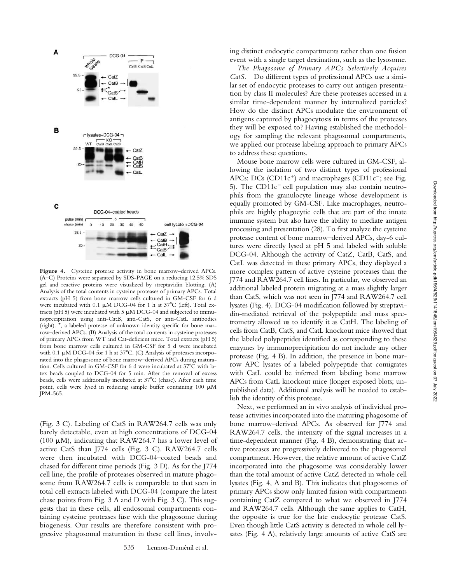

Figure 4. Cysteine protease activity in bone marrow-derived APCs. (A–C) Proteins were separated by SDS-PAGE on a reducing 12.5% SDS gel and reactive proteins were visualized by streptavidin blotting. (A) Analysis of the total contents in cysteine proteases of primary APCs. Total extracts (pH 5) from bone marrow cells cultured in GM-CSF for 6 d were incubated with 0.1  $\mu$ M DCG-04 for 1 h at 37°C (left). Total extracts (pH 5) were incubated with 5  $\mu$ M DCG-04 and subjected to immunoprecipitation using anti-CatB, anti-CatS, or anti-CatL antibodies (right). \*, a labeled protease of unknown identity specific for bone marrow–derived APCs. (B) Analysis of the total contents in cysteine proteases of primary APCs from WT and Cat-deficient mice. Total extracts (pH 5) from bone marrow cells cultured in GM-CSF for 5 d were incubated with 0.1  $\mu$ M DCG-04 for 1 h at 37°C. (C) Analysis of proteases incorporated into the phagosome of bone marrow–derived APCs during maturation. Cells cultured in GM-CSF for 6 d were incubated at 37°C with latex beads coupled to DCG-04 for 5 min. After the removal of excess beads, cells were additionally incubated at 37°C (chase). After each time point, cells were lysed in reducing sample buffer containing  $100 \mu M$ JPM-565.

(Fig. 3 C). Labeling of CatS in RAW264.7 cells was only barely detectable, even at high concentrations of DCG-04 (100  $\mu$ M), indicating that RAW264.7 has a lower level of active CatS than J774 cells (Fig. 3 C). RAW264.7 cells were then incubated with DCG-04–coated beads and chased for different time periods (Fig. 3 D). As for the J774 cell line, the profile of proteases observed in mature phagosome from RAW264.7 cells is comparable to that seen in total cell extracts labeled with DCG-04 (compare the latest chase points from Fig. 3 A and D with Fig. 3 C). This suggests that in these cells, all endosomal compartments containing cysteine proteases fuse with the phagosome during biogenesis. Our results are therefore consistent with progressive phagosomal maturation in these cell lines, involving distinct endocytic compartments rather than one fusion event with a single target destination, such as the lysosome.

*The Phagosome of Primary APCs Selectively Acquires CatS.* Do different types of professional APCs use a similar set of endocytic proteases to carry out antigen presentation by class II molecules? Are these proteases accessed in a similar time-dependent manner by internalized particles? How do the distinct APCs modulate the environment of antigens captured by phagocytosis in terms of the proteases they will be exposed to? Having established the methodology for sampling the relevant phagosomal compartments, we applied our protease labeling approach to primary APCs to address these questions.

Mouse bone marrow cells were cultured in GM-CSF, allowing the isolation of two distinct types of professional APCs:  $DCs$  ( $CD11c^{+}$ ) and macrophages ( $CD11c^{-}$ ; see Fig. 5). The  $CD11c^-$  cell population may also contain neutrophils from the granulocyte lineage whose development is equally promoted by GM-CSF. Like macrophages, neutrophils are highly phagocytic cells that are part of the innate immune system but also have the ability to mediate antigen processing and presentation (28). To first analyze the cysteine protease content of bone marrow–derived APCs, day-6 cultures were directly lysed at pH 5 and labeled with soluble DCG-04. Although the activity of CatZ, CatB, CatS, and CatL was detected in these primary APCs, they displayed a more complex pattern of active cysteine proteases than the J774 and RAW264.7 cell lines. In particular, we observed an additional labeled protein migrating at a mass slightly larger than CatS, which was not seen in J774 and RAW264.7 cell lysates (Fig. 4). DCG-04 modification followed by streptavidin-mediated retrieval of the polypeptide and mass spectrometry allowed us to identify it as CatH. The labeling of cells from CatB, CatS, and CatL knockout mice showed that the labeled polypeptides identified as corresponding to these enzymes by immunoprecipitation do not include any other protease (Fig. 4 B). In addition, the presence in bone marrow APC lysates of a labeled polypeptide that comigrates with CatL could be inferred from labeling bone marrow APCs from CatL knockout mice (longer exposed blots; unpublished data). Additional analysis will be needed to establish the identity of this protease.

Next, we performed an in vivo analysis of individual protease activities incorporated into the maturing phagosome of bone marrow–derived APCs. As observed for J774 and RAW264.7 cells, the intensity of the signal increases in a time-dependent manner (Fig. 4 B), demonstrating that active proteases are progressively delivered to the phagosomal compartment. However, the relative amount of active CatZ incorporated into the phagosome was considerably lower than the total amount of active CatZ detected in whole cell lysates (Fig. 4, A and B). This indicates that phagosomes of primary APCs show only limited fusion with compartments containing CatZ compared to what we observed in J774 and RAW264.7 cells. Although the same applies to CatH, the opposite is true for the late endocytic protease CatS. Even though little CatS activity is detected in whole cell lysates (Fig. 4 A), relatively large amounts of active CatS are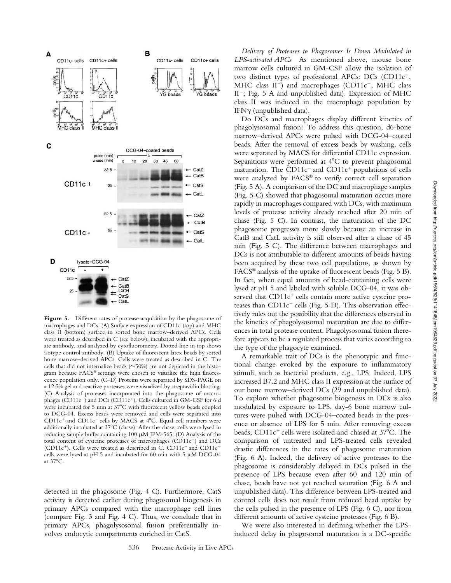

Figure 5. Different rates of protease acquisition by the phagosome of macrophages and DCs. (A) Surface expression of CD11c (top) and MHC class II (bottom) surface in sorted bone marrow–derived APCs. Cells were treated as described in C (see below), incubated with the appropriate antibody, and analyzed by cytofluorometry. Dotted line in top shows isotype control antibody. (B) Uptake of fluorescent latex beads by sorted bone marrow–derived APCs. Cells were treated as described in C. The cells that did not internalize beads  $(\sim]50\%)$  are not depicted in the histogram because FACS® settings were chosen to visualize the high fluorescence population only. (C–D) Proteins were separated by SDS-PAGE on a 12.5% gel and reactive proteases were visualized by streptavidin blotting. (C) Analysis of proteases incorporated into the phagosome of macrophages (CD11c<sup>-</sup>) and DCs (CD11c<sup>+</sup>). Cells cultured in GM-CSF for 6 d were incubated for 5 min at 37°C with fluorescent yellow beads coupled to DCG-04. Excess beads were removed and cells were separated into  $CD11c<sup>+</sup>$  and  $CD11c<sup>-</sup>$  cells by MACS at  $4^{\circ}$ C. Equal cell numbers were additionally incubated at  $37^{\circ}$ C (chase). After the chase, cells were lysed in reducing sample buffer containing 100  $\mu$ M JPM-565. (D) Analysis of the total content of cysteine proteases of macrophages (CD11c<sup>-</sup>) and DCs (CD11 $c^+$ ). Cells were treated as described in C. CD11 $c^-$  and CD11 $c^+$ cells were lysed at pH 5 and incubated for 60 min with 5  $\mu$ M DCG-04 at  $37^{\circ}$ C.

detected in the phagosome (Fig. 4 C). Furthermore, CatS activity is detected earlier during phagosomal biogenesis in primary APCs compared with the macrophage cell lines (compare Fig. 3 and Fig. 4 C). Thus, we conclude that in primary APCs, phagolysosomal fusion preferentially involves endocytic compartments enriched in CatS.

*Delivery of Proteases to Phagosomes Is Down Modulated in LPS-activated APCs* As mentioned above, mouse bone marrow cells cultured in GM-CSF allow the isolation of two distinct types of professional APCs: DCs (CD11c<sup>+</sup>, MHC class  $II^+$ ) and macrophages (CD11 $c^-$ , MHC class  $II^-$ ; Fig. 5 A and unpublished data). Expression of MHC class II was induced in the macrophage population by  $IFN<sub>Y</sub>$  (unpublished data).

Do DCs and macrophages display different kinetics of phagolysosomal fusion? To address this question, d6-bone marrow–derived APCs were pulsed with DCG-04–coated beads. After the removal of excess beads by washing, cells were separated by MACS for differential CD11c expression. Separations were performed at  $4^{\circ}C$  to prevent phagosomal maturation. The  $CD11c^{-}$  and  $CD11c^{+}$  populations of cells were analyzed by FACS® to verify correct cell separation (Fig. 5 A). A comparison of the DC and macrophage samples (Fig. 5 C) showed that phagosomal maturation occurs more rapidly in macrophages compared with DCs, with maximum levels of protease activity already reached after 20 min of chase (Fig. 5 C). In contrast, the maturation of the DC phagosome progresses more slowly because an increase in CatB and CatL activity is still observed after a chase of 45 min (Fig. 5 C). The difference between macrophages and DCs is not attributable to different amounts of beads having been acquired by these two cell populations, as shown by FACS® analysis of the uptake of fluorescent beads (Fig. 5 B). In fact, when equal amounts of bead-containing cells were lysed at pH 5 and labeled with soluble DCG-04, it was observed that CD11c<sup>+</sup> cells contain more active cysteine proteases than  $CD11c^-$  cells (Fig. 5 D). This observation effectively rules out the possibility that the differences observed in the kinetics of phagolysosomal maturation are due to differences in total protease content. Phagolysosomal fusion therefore appears to be a regulated process that varies according to the type of the phagocyte examined.

A remarkable trait of DCs is the phenotypic and functional change evoked by the exposure to inflammatory stimuli, such as bacterial products, e.g., LPS. Indeed, LPS increased B7.2 and MHC class II expression at the surface of our bone marrow–derived DCs (29 and unpublished data). To explore whether phagosome biogenesis in DCs is also modulated by exposure to LPS, day-6 bone marrow cultures were pulsed with DCG-04–coated beads in the presence or absence of LPS for 5 min. After removing excess beads, CD11c<sup>+</sup> cells were isolated and chased at 37°C. The comparison of untreated and LPS-treated cells revealed drastic differences in the rates of phagosome maturation (Fig. 6 A). Indeed, the delivery of active proteases to the phagosome is considerably delayed in DCs pulsed in the presence of LPS because even after 60 and 120 min of chase, beads have not yet reached saturation (Fig. 6 A and unpublished data). This difference between LPS-treated and control cells does not result from reduced bead uptake by the cells pulsed in the presence of LPS (Fig. 6 C), nor from different amounts of active cysteine proteases (Fig. 6 B).

We were also interested in defining whether the LPSinduced delay in phagosomal maturation is a DC-specific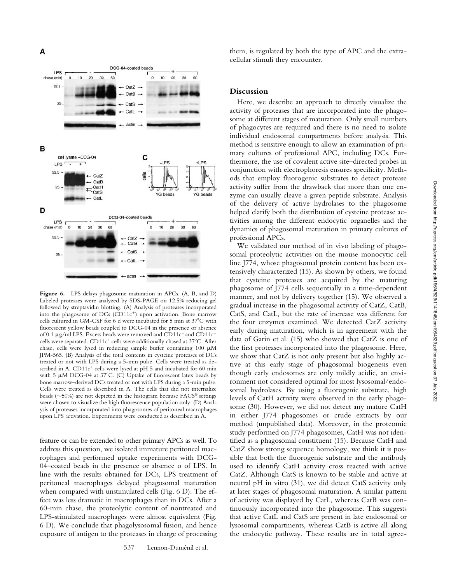

**Figure 6.** LPS delays phagosome maturation in APCs. (A, B, and D) Labeled proteases were analyzed by SDS-PAGE on 12.5% reducing gel followed by streptavidin blotting. (A) Analysis of proteases incorporated into the phagosome of DCs (CD11c<sup>+</sup>) upon activation. Bone marrow cells cultured in GM-CSF for 6 d were incubated for 5 min at 37°C with fluorescent yellow beads coupled to DCG-04 in the presence or absence of 0.1  $\mu$ g/ml LPS. Excess beads were removed and CD11c<sup>+</sup> and CD11c<sup>-</sup> cells were separated. CD11c<sup>+</sup> cells were additionally chased at 37°C. After chase, cells were lysed in reducing sample buffer containing 100  $\mu$ M JPM-565. (B) Analysis of the total contents in cysteine proteases of DCs treated or not with LPS during a 5-min pulse. Cells were treated as described in A. CD11c<sup>+</sup> cells were lysed at pH 5 and incubated for 60 min with 5  $\mu$ M DCG-04 at 37°C. (C) Uptake of fluorescent latex beads by bone marrow–derived DCs treated or not with LPS during a 5-min pulse. Cells were treated as described in A. The cells that did not internalize beads ( $\sim$ 50%) are not depicted in the histogram because FACS® settings were chosen to visualize the high fluorescence population only. (D) Analysis of proteases incorporated into phagosomes of peritoneal macrophages upon LPS activation. Experiments were conducted as described in A.

feature or can be extended to other primary APCs as well. To address this question, we isolated immature peritoneal macrophages and performed uptake experiments with DCG-04–coated beads in the presence or absence o of LPS. In line with the results obtained for DCs, LPS treatment of peritoneal macrophages delayed phagosomal maturation when compared with unstimulated cells (Fig. 6 D). The effect was less dramatic in macrophages than in DCs. After a 60-min chase, the proteolytic content of nontreated and LPS-stimulated macrophages were almost equivalent (Fig. 6 D). We conclude that phagolysosomal fusion, and hence exposure of antigen to the proteases in charge of processing

them, is regulated by both the type of APC and the extracellular stimuli they encounter.

## **Discussion**

Here, we describe an approach to directly visualize the activity of proteases that are incorporated into the phagosome at different stages of maturation. Only small numbers of phagocytes are required and there is no need to isolate individual endosomal compartments before analysis. This method is sensitive enough to allow an examination of primary cultures of professional APC, including DCs. Furthermore, the use of covalent active site–directed probes in conjunction with electrophoresis ensures specificity. Methods that employ fluorogenic substrates to detect protease activity suffer from the drawback that more than one enzyme can usually cleave a given peptide substrate. Analysis of the delivery of active hydrolases to the phagosome helped clarify both the distribution of cysteine protease activities among the different endocytic organelles and the dynamics of phagosomal maturation in primary cultures of professional APCs.

We validated our method of in vivo labeling of phagosomal proteolytic activities on the mouse monocytic cell line J774, whose phagosomal protein content has been extensively characterized (15). As shown by others, we found that cysteine proteases are acquired by the maturing phagosome of J774 cells sequentially in a time-dependent manner, and not by delivery together (15). We observed a gradual increase in the phagosomal activity of CatZ, CatB, CatS, and CatL, but the rate of increase was different for the four enzymes examined. We detected CatZ activity early during maturation, which is in agreement with the data of Garin et al. (15) who showed that CatZ is one of the first proteases incorporated into the phagosome. Here, we show that CatZ is not only present but also highly active at this early stage of phagosomal biogenesis even though early endosomes are only mildly acidic, an environment not considered optimal for most lysosomal/endosomal hydrolases. By using a fluorogenic substrate, high levels of CatH activity were observed in the early phagosome (30). However, we did not detect any mature CatH in either J774 phagosomes or crude extracts by our method (unpublished data). Moreover, in the proteomic study performed on J774 phagosomes, CatH was not identified as a phagosomal constituent (15). Because CatH and CatZ show strong sequence homology, we think it is possible that both the fluorogenic substrate and the antibody used to identify CatH activity cross reacted with active CatZ. Although CatS is known to be stable and active at neutral pH in vitro (31), we did detect CatS activity only at later stages of phagosomal maturation. A similar pattern of activity was displayed by CatL, whereas CatB was continuously incorporated into the phagosome. This suggests that active CatL and CatS are present in late endosomal or lysosomal compartments, whereas CatB is active all along the endocytic pathway. These results are in total agree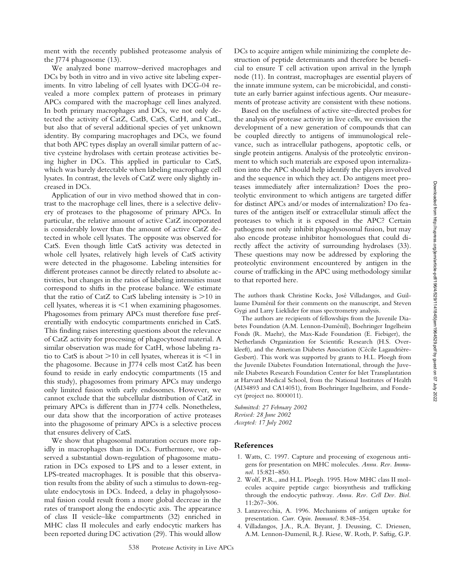ment with the recently published proteasome analysis of the J774 phagosome (13).

We analyzed bone marrow–derived macrophages and DCs by both in vitro and in vivo active site labeling experiments. In vitro labeling of cell lysates with DCG-04 revealed a more complex pattern of proteases in primary APCs compared with the macrophage cell lines analyzed. In both primary macrophages and DCs, we not only detected the activity of CatZ, CatB, CatS, CatH, and CatL, but also that of several additional species of yet unknown identity. By comparing macrophages and DCs, we found that both APC types display an overall similar pattern of active cysteine hydrolases with certain protease activities being higher in DCs. This applied in particular to CatS, which was barely detectable when labeling macrophage cell lysates. In contrast, the levels of CatZ were only slightly increased in DCs.

Application of our in vivo method showed that in contrast to the macrophage cell lines, there is a selective delivery of proteases to the phagosome of primary APCs. In particular, the relative amount of active CatZ incorporated is considerably lower than the amount of active CatZ detected in whole cell lysates. The opposite was observed for CatS. Even though little CatS activity was detected in whole cell lysates, relatively high levels of CatS activity were detected in the phagosome. Labeling intensities for different proteases cannot be directly related to absolute activities, but changes in the ratios of labeling intensities must correspond to shifts in the protease balance. We estimate that the ratio of CatZ to CatS labeling intensity is  $>10$  in cell lysates, whereas it is  $\leq 1$  when examining phagosomes. Phagosomes from primary APCs must therefore fuse preferentially with endocytic compartments enriched in CatS. This finding raises interesting questions about the relevance of CatZ activity for processing of phagocytosed material. A similar observation was made for CatH, whose labeling ratio to CatS is about  $>$ 10 in cell lysates, whereas it is  $\leq$ 1 in the phagosome. Because in J774 cells most CatZ has been found to reside in early endocytic compartments (15 and this study), phagosomes from primary APCs may undergo only limited fusion with early endosomes. However, we cannot exclude that the subcellular distribution of CatZ in primary APCs is different than in J774 cells. Nonetheless, our data show that the incorporation of active proteases into the phagosome of primary APCs is a selective process that ensures delivery of CatS.

We show that phagosomal maturation occurs more rapidly in macrophages than in DCs. Furthermore, we observed a substantial down-regulation of phagosome maturation in DCs exposed to LPS and to a lesser extent, in LPS-treated macrophages. It is possible that this observation results from the ability of such a stimulus to down-regulate endocytosis in DCs. Indeed, a delay in phagolysosomal fusion could result from a more global decrease in the rates of transport along the endocytic axis. The appearance of class II vesicle–like compartments (32) enriched in MHC class II molecules and early endocytic markers has been reported during DC activation (29). This would allow

DCs to acquire antigen while minimizing the complete destruction of peptide determinants and therefore be beneficial to ensure T cell activation upon arrival in the lymph node (11). In contrast, macrophages are essential players of the innate immune system, can be microbicidal, and constitute an early barrier against infectious agents. Our measurements of protease activity are consistent with these notions.

Based on the usefulness of active site–directed probes for the analysis of protease activity in live cells, we envision the development of a new generation of compounds that can be coupled directly to antigens of immunological relevance, such as intracellular pathogens, apoptotic cells, or single protein antigens. Analysis of the proteolytic environment to which such materials are exposed upon internalization into the APC should help identify the players involved and the sequence in which they act. Do antigens meet proteases immediately after internalization? Does the proteolytic environment to which antigens are targeted differ for distinct APCs and/or modes of internalization? Do features of the antigen itself or extracellular stimuli affect the proteases to which it is exposed in the APC? Certain pathogens not only inhibit phagolysosomal fusion, but may also encode protease inhibitor homologues that could directly affect the activity of surrounding hydrolases (33). These questions may now be addressed by exploring the proteolytic environment encountered by antigen in the course of trafficking in the APC using methodology similar to that reported here.

The authors thank Christine Kocks, José Villadangos, and Guillaume Duménil for their comments on the manuscript, and Steven Gygi and Larry Lieklider for mass spectrometry analysis.

The authors are recipients of fellowships from the Juvenile Diabetes Foundation (A.M. Lennon-Duménil), Boehringer Ingelheim Fonds (R. Maehr), the Max-Kade Foundation (E. Fiebiger), the Netherlands Organization for Scientific Research (H.S. Overkleeft), and the American Diabetes Association (Cécile Lagaudrière-Gesbert). This work was supported by grants to H.L. Ploegh from the Juvenile Diabetes Foundation International, through the Juvenile Diabetes Research Foundation Center for Islet Transplantation at Harvard Medical School, from the National Institutes of Health (AI34893 and CA14051), from Boehringer Ingelheim, and Fondecyt (project no. 8000011).

*Submitted: 27 February 2002 Revised: 28 June 2002 Accepted: 17 July 2002*

## **References**

- 1. Watts, C. 1997. Capture and processing of exogenous antigens for presentation on MHC molecules. *Annu. Rev. Immunol.* 15:821–850.
- 2. Wolf, P.R., and H.L. Ploegh. 1995. How MHC class II molecules acquire peptide cargo: biosynthesis and trafficking through the endocytic pathway. *Annu. Rev. Cell Dev. Biol.* 11:267–306.
- 3. Lanzavecchia, A. 1996. Mechanisms of antigen uptake for presentation. *Curr. Opin. Immunol.* 8:348–354.
- 4. Villadangos, J.A., R.A. Bryant, J. Deussing, C. Driessen, A.M. Lennon-Dumenil, R.J. Riese, W. Roth, P. Saftig, G.P.